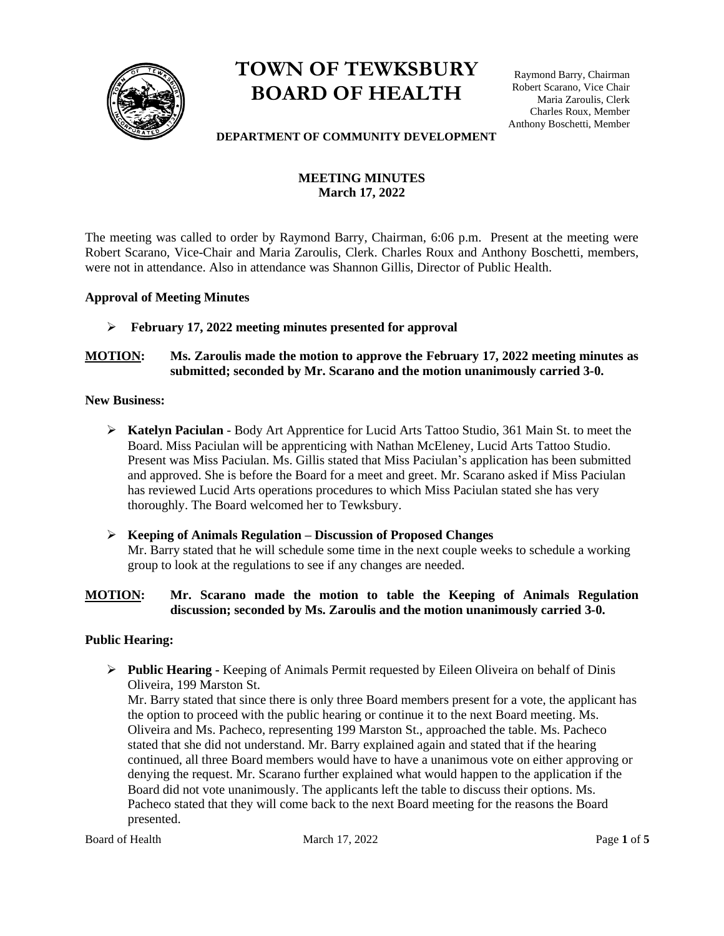

# **TOWN OF TEWKSBURY BOARD OF HEALTH**

Raymond Barry, Chairman Robert Scarano, Vice Chair Maria Zaroulis, Clerk Charles Roux, Member Anthony Boschetti, Member

#### **DEPARTMENT OF COMMUNITY DEVELOPMENT**

## **MEETING MINUTES March 17, 2022**

The meeting was called to order by Raymond Barry, Chairman, 6:06 p.m. Present at the meeting were Robert Scarano, Vice-Chair and Maria Zaroulis, Clerk. Charles Roux and Anthony Boschetti, members, were not in attendance. Also in attendance was Shannon Gillis, Director of Public Health.

#### **Approval of Meeting Minutes**

#### ➢ **February 17, 2022 meeting minutes presented for approval**

## **MOTION: Ms. Zaroulis made the motion to approve the February 17, 2022 meeting minutes as submitted; seconded by Mr. Scarano and the motion unanimously carried 3-0.**

#### **New Business:**

➢ **Katelyn Paciulan** - Body Art Apprentice for Lucid Arts Tattoo Studio, 361 Main St. to meet the Board. Miss Paciulan will be apprenticing with Nathan McEleney, Lucid Arts Tattoo Studio. Present was Miss Paciulan. Ms. Gillis stated that Miss Paciulan's application has been submitted and approved. She is before the Board for a meet and greet. Mr. Scarano asked if Miss Paciulan has reviewed Lucid Arts operations procedures to which Miss Paciulan stated she has very thoroughly. The Board welcomed her to Tewksbury.

## ➢ **Keeping of Animals Regulation – Discussion of Proposed Changes** Mr. Barry stated that he will schedule some time in the next couple weeks to schedule a working group to look at the regulations to see if any changes are needed.

## **MOTION: Mr. Scarano made the motion to table the Keeping of Animals Regulation discussion; seconded by Ms. Zaroulis and the motion unanimously carried 3-0.**

## **Public Hearing:**

➢ **Public Hearing -** Keeping of Animals Permit requested by Eileen Oliveira on behalf of Dinis Oliveira, 199 Marston St.

Mr. Barry stated that since there is only three Board members present for a vote, the applicant has the option to proceed with the public hearing or continue it to the next Board meeting. Ms. Oliveira and Ms. Pacheco, representing 199 Marston St., approached the table. Ms. Pacheco stated that she did not understand. Mr. Barry explained again and stated that if the hearing continued, all three Board members would have to have a unanimous vote on either approving or denying the request. Mr. Scarano further explained what would happen to the application if the Board did not vote unanimously. The applicants left the table to discuss their options. Ms. Pacheco stated that they will come back to the next Board meeting for the reasons the Board presented.

#### Board of Health March 17, 2022 Page 1 of 5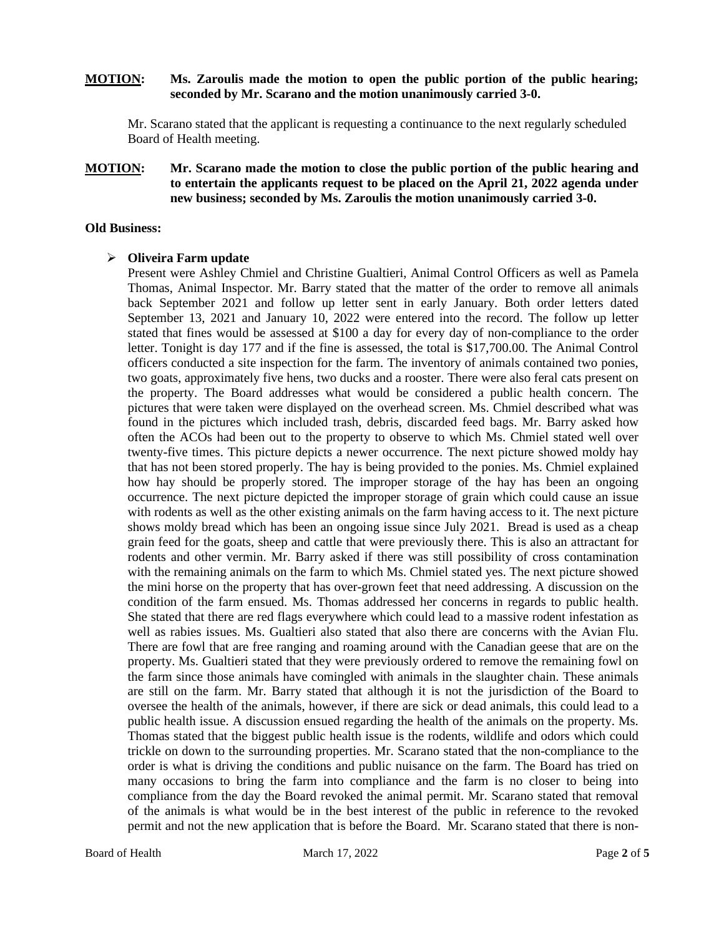## **MOTION: Ms. Zaroulis made the motion to open the public portion of the public hearing; seconded by Mr. Scarano and the motion unanimously carried 3-0.**

Mr. Scarano stated that the applicant is requesting a continuance to the next regularly scheduled Board of Health meeting.

**MOTION: Mr. Scarano made the motion to close the public portion of the public hearing and to entertain the applicants request to be placed on the April 21, 2022 agenda under new business; seconded by Ms. Zaroulis the motion unanimously carried 3-0.**

#### **Old Business:**

#### ➢ **Oliveira Farm update**

Present were Ashley Chmiel and Christine Gualtieri, Animal Control Officers as well as Pamela Thomas, Animal Inspector. Mr. Barry stated that the matter of the order to remove all animals back September 2021 and follow up letter sent in early January. Both order letters dated September 13, 2021 and January 10, 2022 were entered into the record. The follow up letter stated that fines would be assessed at \$100 a day for every day of non-compliance to the order letter. Tonight is day 177 and if the fine is assessed, the total is \$17,700.00. The Animal Control officers conducted a site inspection for the farm. The inventory of animals contained two ponies, two goats, approximately five hens, two ducks and a rooster. There were also feral cats present on the property. The Board addresses what would be considered a public health concern. The pictures that were taken were displayed on the overhead screen. Ms. Chmiel described what was found in the pictures which included trash, debris, discarded feed bags. Mr. Barry asked how often the ACOs had been out to the property to observe to which Ms. Chmiel stated well over twenty-five times. This picture depicts a newer occurrence. The next picture showed moldy hay that has not been stored properly. The hay is being provided to the ponies. Ms. Chmiel explained how hay should be properly stored. The improper storage of the hay has been an ongoing occurrence. The next picture depicted the improper storage of grain which could cause an issue with rodents as well as the other existing animals on the farm having access to it. The next picture shows moldy bread which has been an ongoing issue since July 2021. Bread is used as a cheap grain feed for the goats, sheep and cattle that were previously there. This is also an attractant for rodents and other vermin. Mr. Barry asked if there was still possibility of cross contamination with the remaining animals on the farm to which Ms. Chmiel stated yes. The next picture showed the mini horse on the property that has over-grown feet that need addressing. A discussion on the condition of the farm ensued. Ms. Thomas addressed her concerns in regards to public health. She stated that there are red flags everywhere which could lead to a massive rodent infestation as well as rabies issues. Ms. Gualtieri also stated that also there are concerns with the Avian Flu. There are fowl that are free ranging and roaming around with the Canadian geese that are on the property. Ms. Gualtieri stated that they were previously ordered to remove the remaining fowl on the farm since those animals have comingled with animals in the slaughter chain. These animals are still on the farm. Mr. Barry stated that although it is not the jurisdiction of the Board to oversee the health of the animals, however, if there are sick or dead animals, this could lead to a public health issue. A discussion ensued regarding the health of the animals on the property. Ms. Thomas stated that the biggest public health issue is the rodents, wildlife and odors which could trickle on down to the surrounding properties. Mr. Scarano stated that the non-compliance to the order is what is driving the conditions and public nuisance on the farm. The Board has tried on many occasions to bring the farm into compliance and the farm is no closer to being into compliance from the day the Board revoked the animal permit. Mr. Scarano stated that removal of the animals is what would be in the best interest of the public in reference to the revoked permit and not the new application that is before the Board. Mr. Scarano stated that there is non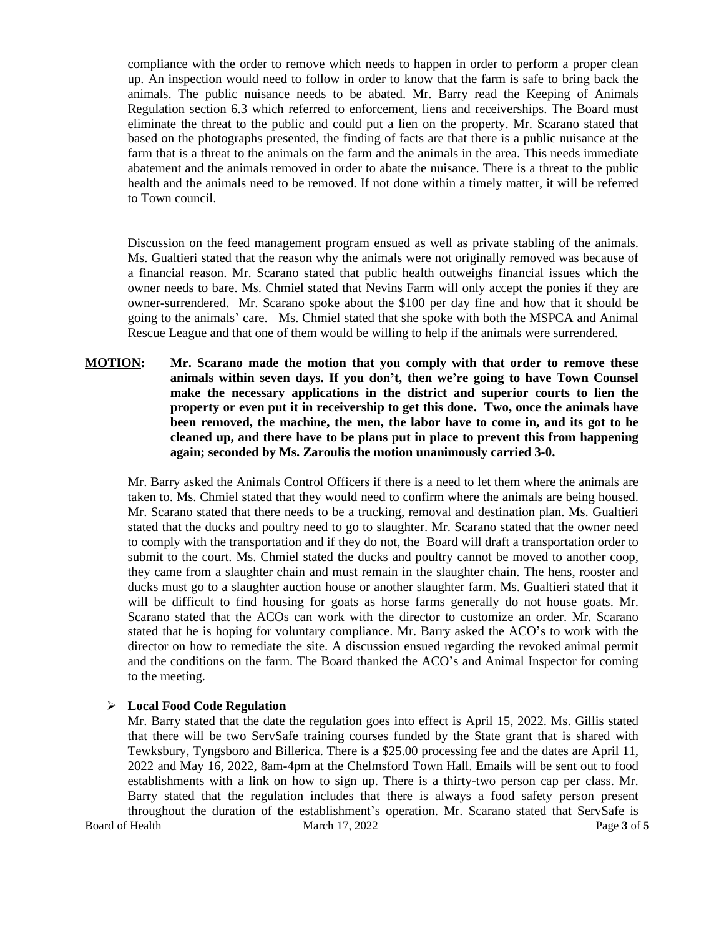compliance with the order to remove which needs to happen in order to perform a proper clean up. An inspection would need to follow in order to know that the farm is safe to bring back the animals. The public nuisance needs to be abated. Mr. Barry read the Keeping of Animals Regulation section 6.3 which referred to enforcement, liens and receiverships. The Board must eliminate the threat to the public and could put a lien on the property. Mr. Scarano stated that based on the photographs presented, the finding of facts are that there is a public nuisance at the farm that is a threat to the animals on the farm and the animals in the area. This needs immediate abatement and the animals removed in order to abate the nuisance. There is a threat to the public health and the animals need to be removed. If not done within a timely matter, it will be referred to Town council.

Discussion on the feed management program ensued as well as private stabling of the animals. Ms. Gualtieri stated that the reason why the animals were not originally removed was because of a financial reason. Mr. Scarano stated that public health outweighs financial issues which the owner needs to bare. Ms. Chmiel stated that Nevins Farm will only accept the ponies if they are owner-surrendered. Mr. Scarano spoke about the \$100 per day fine and how that it should be going to the animals' care. Ms. Chmiel stated that she spoke with both the MSPCA and Animal Rescue League and that one of them would be willing to help if the animals were surrendered.

**MOTION: Mr. Scarano made the motion that you comply with that order to remove these animals within seven days. If you don't, then we're going to have Town Counsel make the necessary applications in the district and superior courts to lien the property or even put it in receivership to get this done. Two, once the animals have been removed, the machine, the men, the labor have to come in, and its got to be cleaned up, and there have to be plans put in place to prevent this from happening again; seconded by Ms. Zaroulis the motion unanimously carried 3-0.**

Mr. Barry asked the Animals Control Officers if there is a need to let them where the animals are taken to. Ms. Chmiel stated that they would need to confirm where the animals are being housed. Mr. Scarano stated that there needs to be a trucking, removal and destination plan. Ms. Gualtieri stated that the ducks and poultry need to go to slaughter. Mr. Scarano stated that the owner need to comply with the transportation and if they do not, the Board will draft a transportation order to submit to the court. Ms. Chmiel stated the ducks and poultry cannot be moved to another coop, they came from a slaughter chain and must remain in the slaughter chain. The hens, rooster and ducks must go to a slaughter auction house or another slaughter farm. Ms. Gualtieri stated that it will be difficult to find housing for goats as horse farms generally do not house goats. Mr. Scarano stated that the ACOs can work with the director to customize an order. Mr. Scarano stated that he is hoping for voluntary compliance. Mr. Barry asked the ACO's to work with the director on how to remediate the site. A discussion ensued regarding the revoked animal permit and the conditions on the farm. The Board thanked the ACO's and Animal Inspector for coming to the meeting.

#### ➢ **Local Food Code Regulation**

Board of Health March 17, 2022 Page 3 of 5 Mr. Barry stated that the date the regulation goes into effect is April 15, 2022. Ms. Gillis stated that there will be two ServSafe training courses funded by the State grant that is shared with Tewksbury, Tyngsboro and Billerica. There is a \$25.00 processing fee and the dates are April 11, 2022 and May 16, 2022, 8am-4pm at the Chelmsford Town Hall. Emails will be sent out to food establishments with a link on how to sign up. There is a thirty-two person cap per class. Mr. Barry stated that the regulation includes that there is always a food safety person present throughout the duration of the establishment's operation. Mr. Scarano stated that ServSafe is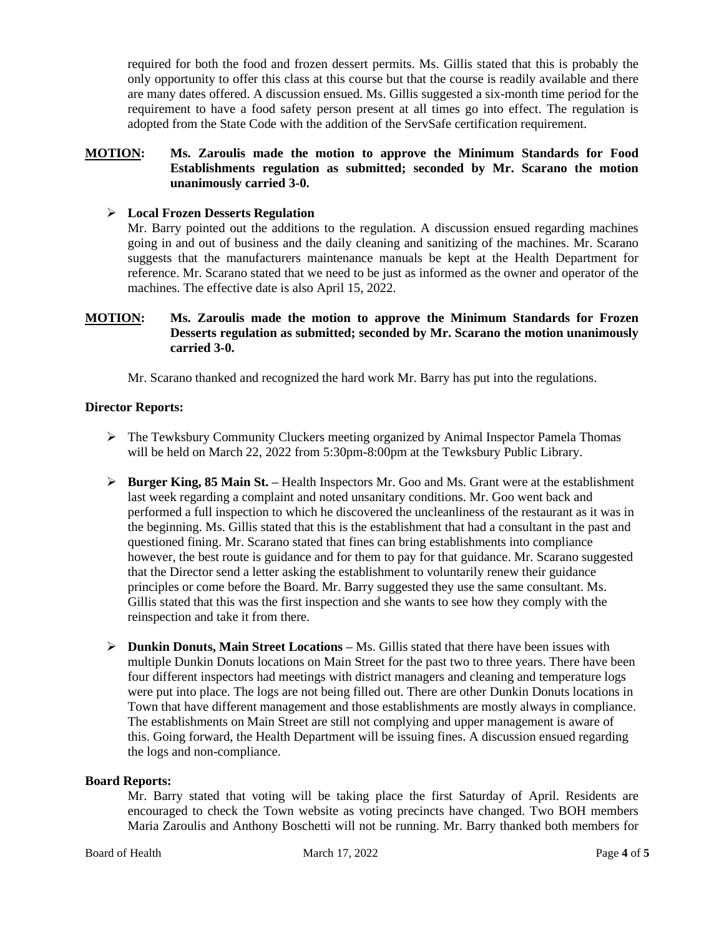required for both the food and frozen dessert permits. Ms. Gillis stated that this is probably the only opportunity to offer this class at this course but that the course is readily available and there are many dates offered. A discussion ensued. Ms. Gillis suggested a six-month time period for the requirement to have a food safety person present at all times go into effect. The regulation is adopted from the State Code with the addition of the ServSafe certification requirement.

## **MOTION: Ms. Zaroulis made the motion to approve the Minimum Standards for Food Establishments regulation as submitted; seconded by Mr. Scarano the motion unanimously carried 3-0.**

## ➢ **Local Frozen Desserts Regulation**

Mr. Barry pointed out the additions to the regulation. A discussion ensued regarding machines going in and out of business and the daily cleaning and sanitizing of the machines. Mr. Scarano suggests that the manufacturers maintenance manuals be kept at the Health Department for reference. Mr. Scarano stated that we need to be just as informed as the owner and operator of the machines. The effective date is also April 15, 2022.

## **MOTION: Ms. Zaroulis made the motion to approve the Minimum Standards for Frozen Desserts regulation as submitted; seconded by Mr. Scarano the motion unanimously carried 3-0.**

Mr. Scarano thanked and recognized the hard work Mr. Barry has put into the regulations.

## **Director Reports:**

- $\triangleright$  The Tewksbury Community Cluckers meeting organized by Animal Inspector Pamela Thomas will be held on March 22, 2022 from 5:30pm-8:00pm at the Tewksbury Public Library.
- ➢ **Burger King, 85 Main St. –** Health Inspectors Mr. Goo and Ms. Grant were at the establishment last week regarding a complaint and noted unsanitary conditions. Mr. Goo went back and performed a full inspection to which he discovered the uncleanliness of the restaurant as it was in the beginning. Ms. Gillis stated that this is the establishment that had a consultant in the past and questioned fining. Mr. Scarano stated that fines can bring establishments into compliance however, the best route is guidance and for them to pay for that guidance. Mr. Scarano suggested that the Director send a letter asking the establishment to voluntarily renew their guidance principles or come before the Board. Mr. Barry suggested they use the same consultant. Ms. Gillis stated that this was the first inspection and she wants to see how they comply with the reinspection and take it from there.
- ➢ **Dunkin Donuts, Main Street Locations –** Ms. Gillis stated that there have been issues with multiple Dunkin Donuts locations on Main Street for the past two to three years. There have been four different inspectors had meetings with district managers and cleaning and temperature logs were put into place. The logs are not being filled out. There are other Dunkin Donuts locations in Town that have different management and those establishments are mostly always in compliance. The establishments on Main Street are still not complying and upper management is aware of this. Going forward, the Health Department will be issuing fines. A discussion ensued regarding the logs and non-compliance.

# **Board Reports:**

Mr. Barry stated that voting will be taking place the first Saturday of April. Residents are encouraged to check the Town website as voting precincts have changed. Two BOH members Maria Zaroulis and Anthony Boschetti will not be running. Mr. Barry thanked both members for